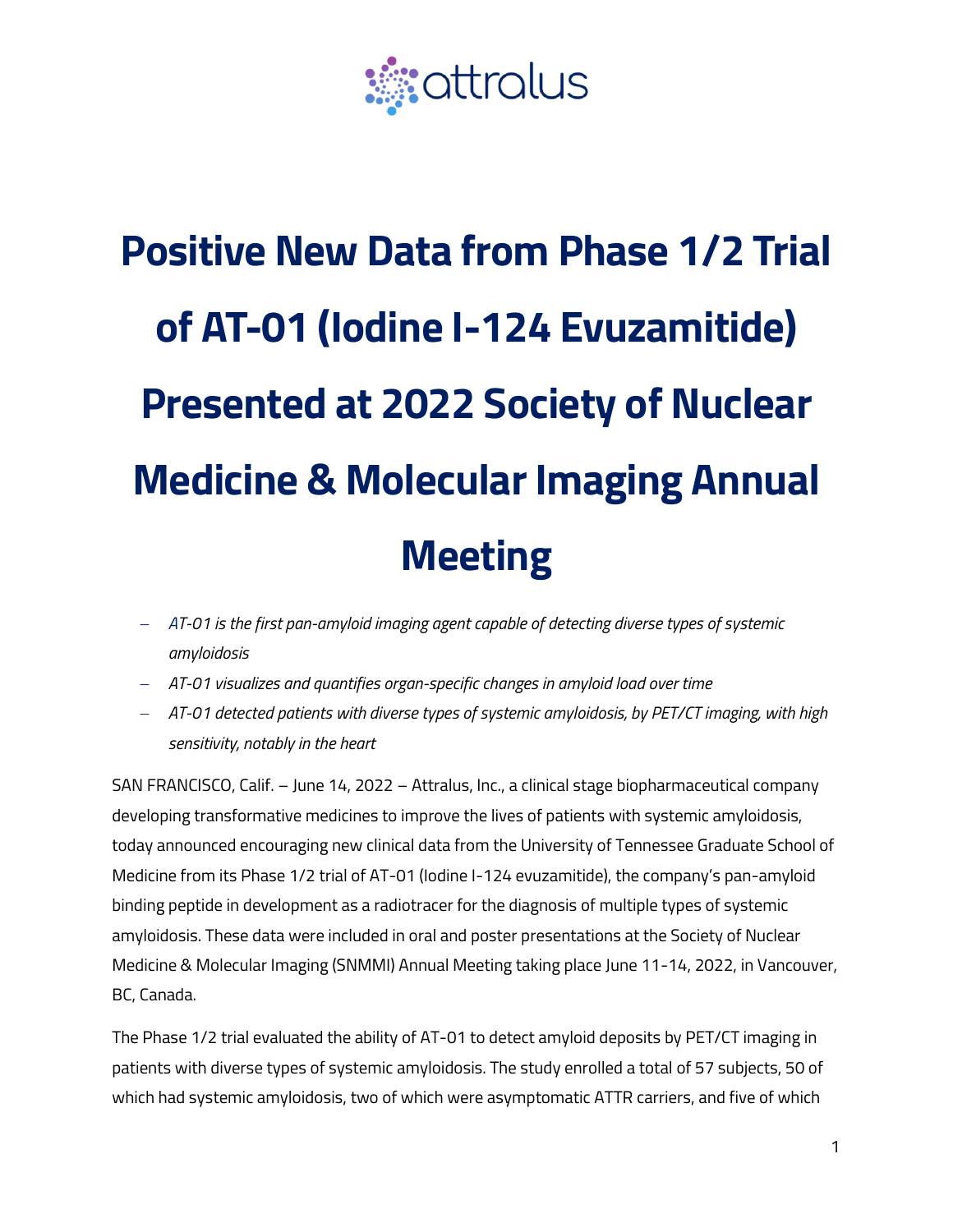

# **Positive New Data from Phase 1/2 Trial of AT-01 (Iodine I-124 Evuzamitide) Presented at 2022 Society of Nuclear Medicine & Molecular Imaging Annual Meeting**

- − *AT-01 is the first pan-amyloid imaging agent capable of detecting diverse types of systemic amyloidosis*
- − *AT-01 visualizes and quantifies organ-specific changes in amyloid load over time*
- − *AT-01 detected patients with diverse types of systemic amyloidosis, by PET/CT imaging, with high sensitivity, notably in the heart*

SAN FRANCISCO, Calif. – June 14, 2022 – Attralus, Inc., a clinical stage biopharmaceutical company developing transformative medicines to improve the lives of patients with systemic amyloidosis, today announced encouraging new clinical data from the University of Tennessee Graduate School of Medicine from its Phase 1/2 trial of AT-01 (Iodine I-124 evuzamitide), the company's pan-amyloid binding peptide in development as a radiotracer for the diagnosis of multiple types of systemic amyloidosis. These data were included in oral and poster presentations at the Society of Nuclear Medicine & Molecular Imaging (SNMMI) Annual Meeting taking place June 11-14, 2022, in Vancouver, BC, Canada.

The Phase 1/2 trial evaluated the ability of AT-01 to detect amyloid deposits by PET/CT imaging in patients with diverse types of systemic amyloidosis. The study enrolled a total of 57 subjects, 50 of which had systemic amyloidosis, two of which were asymptomatic ATTR carriers, and five of which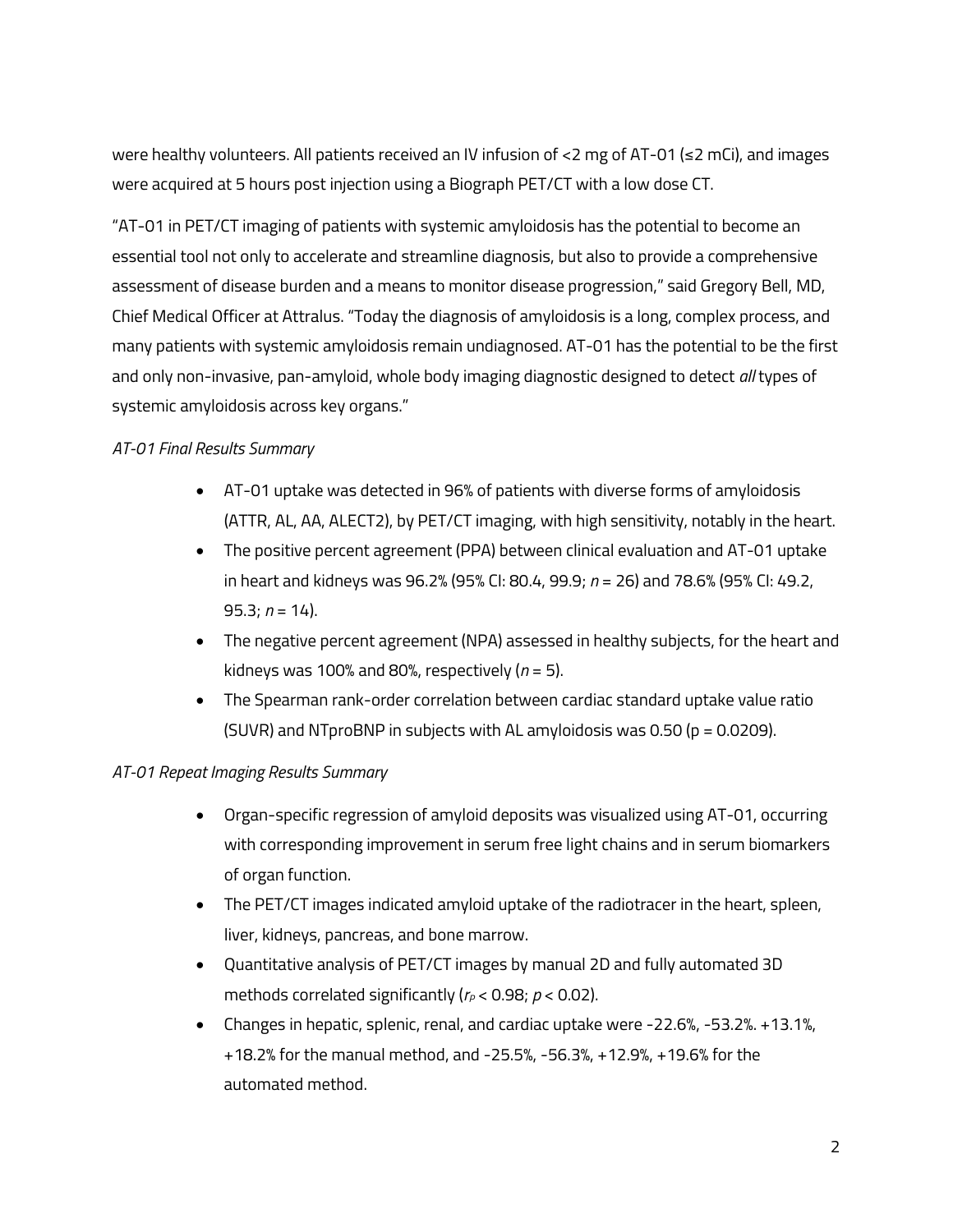were healthy volunteers. All patients received an IV infusion of <2 mg of AT-01 (≤2 mCi), and images were acquired at 5 hours post injection using a Biograph PET/CT with a low dose CT.

"AT-01 in PET/CT imaging of patients with systemic amyloidosis has the potential to become an essential tool not only to accelerate and streamline diagnosis, but also to provide a comprehensive assessment of disease burden and a means to monitor disease progression," said Gregory Bell, MD, Chief Medical Officer at Attralus. "Today the diagnosis of amyloidosis is a long, complex process, and many patients with systemic amyloidosis remain undiagnosed. AT-01 has the potential to be the first and only non-invasive, pan-amyloid, whole body imaging diagnostic designed to detect *all* types of systemic amyloidosis across key organs."

# *AT-01 Final Results Summary*

- AT-01 uptake was detected in 96% of patients with diverse forms of amyloidosis (ATTR, AL, AA, ALECT2), by PET/CT imaging, with high sensitivity, notably in the heart.
- The positive percent agreement (PPA) between clinical evaluation and AT-01 uptake in heart and kidneys was 96.2% (95% CI: 80.4, 99.9; *n* = 26) and 78.6% (95% CI: 49.2, 95.3;  $n = 14$ ).
- The negative percent agreement (NPA) assessed in healthy subjects, for the heart and kidneys was 100% and 80%, respectively (*n* = 5).
- The Spearman rank-order correlation between cardiac standard uptake value ratio (SUVR) and NTproBNP in subjects with AL amyloidosis was 0.50 (p = 0.0209).

# *AT-01 Repeat Imaging Results Summary*

- Organ-specific regression of amyloid deposits was visualized using AT-01, occurring with corresponding improvement in serum free light chains and in serum biomarkers of organ function.
- The PET/CT images indicated amyloid uptake of the radiotracer in the heart, spleen, liver, kidneys, pancreas, and bone marrow.
- Quantitative analysis of PET/CT images by manual 2D and fully automated 3D methods correlated significantly  $(r_P < 0.98; p < 0.02)$ .
- Changes in hepatic, splenic, renal, and cardiac uptake were -22.6%, -53.2%. +13.1%, +18.2% for the manual method, and -25.5%, -56.3%, +12.9%, +19.6% for the automated method.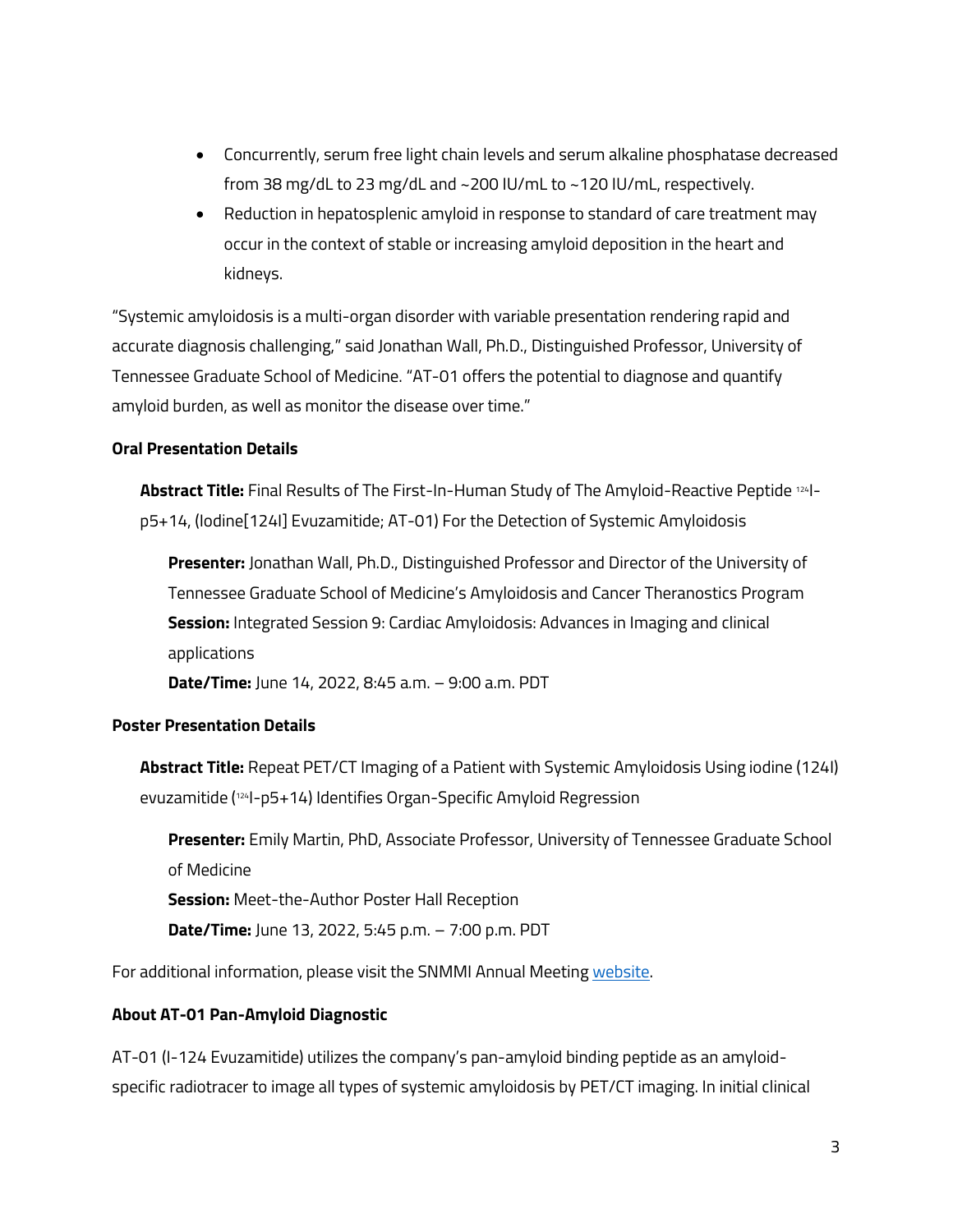- Concurrently, serum free light chain levels and serum alkaline phosphatase decreased from 38 mg/dL to 23 mg/dL and ~200 IU/mL to ~120 IU/mL, respectively.
- Reduction in hepatosplenic amyloid in response to standard of care treatment may occur in the context of stable or increasing amyloid deposition in the heart and kidneys.

"Systemic amyloidosis is a multi-organ disorder with variable presentation rendering rapid and accurate diagnosis challenging," said Jonathan Wall, Ph.D., Distinguished Professor, University of Tennessee Graduate School of Medicine. "AT-01 offers the potential to diagnose and quantify amyloid burden, as well as monitor the disease over time."

# **Oral Presentation Details**

**Abstract Title:** Final Results of The First-In-Human Study of The Amyloid-Reactive Peptide 124Ip5+14, (Iodine[124I] Evuzamitide; AT-01) For the Detection of Systemic Amyloidosis

**Presenter:** Jonathan Wall, Ph.D., Distinguished Professor and Director of the University of Tennessee Graduate School of Medicine's Amyloidosis and Cancer Theranostics Program **Session:** Integrated Session 9: Cardiac Amyloidosis: Advances in Imaging and clinical applications

**Date/Time:** June 14, 2022, 8:45 a.m. – 9:00 a.m. PDT

# **Poster Presentation Details**

**Abstract Title:** Repeat PET/CT Imaging of a Patient with Systemic Amyloidosis Using iodine (124I) evuzamitide ( 124I-p5+14) Identifies Organ-Specific Amyloid Regression

**Presenter:** Emily Martin, PhD, Associate Professor, University of Tennessee Graduate School of Medicine

**Session:** Meet-the-Author Poster Hall Reception

**Date/Time:** June 13, 2022, 5:45 p.m. – 7:00 p.m. PDT

For additional information, please visit the SNMMI Annual Meeting [website.](https://am.snmmi.org/iMIS/SNMMI-AM) 

# **About AT-01 Pan-Amyloid Diagnostic**

AT-01 (I-124 Evuzamitide) utilizes the company's pan-amyloid binding peptide as an amyloidspecific radiotracer to image all types of systemic amyloidosis by PET/CT imaging. In initial clinical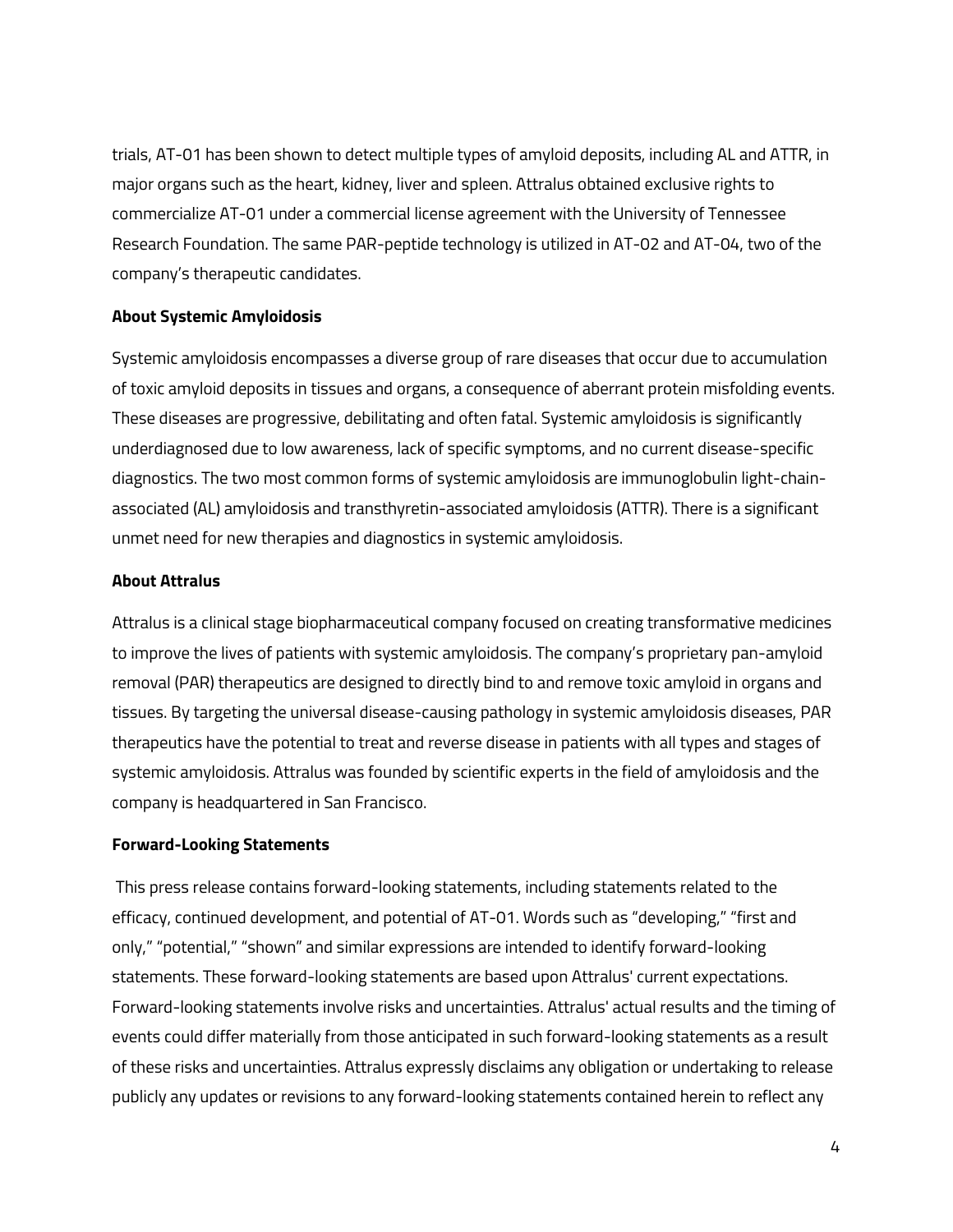trials, AT-01 has been shown to detect multiple types of amyloid deposits, including AL and ATTR, in major organs such as the heart, kidney, liver and spleen. Attralus obtained exclusive rights to commercialize AT-01 under a commercial license agreement with the University of Tennessee Research Foundation. The same PAR-peptide technology is utilized in AT-02 and AT-04, two of the company's therapeutic candidates.

#### **About Systemic Amyloidosis**

Systemic amyloidosis encompasses a diverse group of rare diseases that occur due to accumulation of toxic amyloid deposits in tissues and organs, a consequence of aberrant protein misfolding events. These diseases are progressive, debilitating and often fatal. Systemic amyloidosis is significantly underdiagnosed due to low awareness, lack of specific symptoms, and no current disease-specific diagnostics. The two most common forms of systemic amyloidosis are immunoglobulin light-chainassociated (AL) amyloidosis and transthyretin-associated amyloidosis (ATTR). There is a significant unmet need for new therapies and diagnostics in systemic amyloidosis.

#### **About Attralus**

Attralus is a clinical stage biopharmaceutical company focused on creating transformative medicines to improve the lives of patients with systemic amyloidosis. The company's proprietary pan-amyloid removal (PAR) therapeutics are designed to directly bind to and remove toxic amyloid in organs and tissues. By targeting the universal disease-causing pathology in systemic amyloidosis diseases, PAR therapeutics have the potential to treat and reverse disease in patients with all types and stages of systemic amyloidosis. Attralus was founded by scientific experts in the field of amyloidosis and the company is headquartered in San Francisco.

# **Forward-Looking Statements**

This press release contains forward-looking statements, including statements related to the efficacy, continued development, and potential of AT-01. Words such as "developing," "first and only," "potential," "shown" and similar expressions are intended to identify forward-looking statements. These forward-looking statements are based upon Attralus' current expectations. Forward-looking statements involve risks and uncertainties. Attralus' actual results and the timing of events could differ materially from those anticipated in such forward-looking statements as a result of these risks and uncertainties. Attralus expressly disclaims any obligation or undertaking to release publicly any updates or revisions to any forward-looking statements contained herein to reflect any